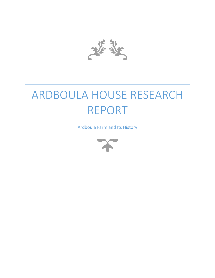

## ARDBOULA HOUSE RESEARCH REPORT

Ardboula Farm and Its History

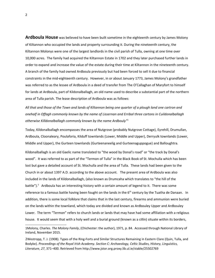**Ardboula House** was believed to have been built sometime in the eighteenth century by James Molony of Kiltannon who occupied the lands and property surrounding it. During the nineteenth century, the Kiltannon Molonys were one of the largest landlords in the civil parish of Tulla, owning at one time over 10,000 acres. The family had acquired the Kiltannon Estate in 1702 and they later purchased further lands in order to expand and increase the value of the estate during their time at Kiltannon in the nineteenth century. A branch of the family had owned Ardboula previously but had been forced to sell it due to financial constraints in the mid-eighteenth century. However, in or about January 1773, James Molony's grandfather was referred to as the lessee of Ardboula in a deed of transfer from The O'Callaghan of Maryfort to himself for lands at Ardboula, part of Kildonalballagh, an old name used to describe a substantial part of the northern area of Tulla parish. The lease description of Ardboula was as follows:

*All that and those of the Town and lands of Kiltannon being one quarter of a plough land one cartron and onehalf in Offagh commonly known by the name of Lissernan and Erribal three cartons in Cuildonalballagh otherwise Killdonalballagh commonly known by the name Ardbouly"*[1](#page-1-0)

Today, Kildonalballagh encompasses the area of Nutgrove (probably Nutgrove Cottage), Eyrehill, Drumullan, Ardboula, Cloonaleary, Poulaforia, Kilduff townlands (Lower, Middle and Upper), Derryulk townlands (Lower, Middle and Upper), the Gurteen townlands (Gurteenaneelig and Gurteenaguppogue) and Balloughtra.

Kildonalballagh is an old Gaelic name translated to "the wood by Donal's road" or "the track by Donal's wood". It was referred to as part of the "Termon of Tulla" in the Black Book of St. Mochulla which has been lost but gave a detailed account of St. Mochulla and the area of Tulla. These lands had been given to the Church in or about 1397 A.D. according to the above account. The present area of Ardboula was also included in the lands of Kildonalballagh, (also known as Drumcaha which translates to "the hill of the battle").<sup>[2](#page-1-1)</sup> Ardboula has an interesting history with a certain amount of legend to it. There was some reference to a famous battle having been fought on the lands in the  $6<sup>th</sup>$  century by the Tuatha de Danaan. In addition, there is some local folklore that claims that in the last century, firearms and ammunion were buried on the lands within the townland, which today are divided and known as Ardbouley Upper and Ardbouley Lower. The term "Termon" refers to church lands or lands that may have had some affiliation with a religious house. It would seem that with a holy well and a burial ground (known as a cillín) situate within its borders,

<span id="page-1-0"></span><sup>1</sup>Molony, Charles. *The Molony Family*, (Chichester: the author), 1971, p. 84. Accessed through National Library of Ireland, November 2015.

<span id="page-1-1"></span><sup>2</sup>Westropp, T. J. (1908). Types of the Ring-Forts and Similar Structures Remaining in Eastern Clare (Quin, Tulla, and Bodyke). *Proceedings of the Royal Irish Academy. Section C: Archaeology, Celtic Studies, History, Linguistics, Literature*, *27*, 371–400. Retrieved from http://www.jstor.org.proxy.lib.ul.ie/stable/25502769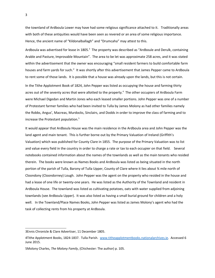the townland of Ardboula Lower may have had some religious significance attached to it. Traditionally areas with both of these antiquities would have been seen as revered or an area of some religious importance. Hence, the ancient name of "Kildonalballagh" and "Drumcaha" may attest to this.

Ardboula was advertised for lease in 1805.<sup>[3](#page-2-0)</sup> The property was described as "Ardboule and Derulk, containing Arable and Pasture, Improvable Mountain". The area to be let was approximate 258 acres, and it was stated within the advertisement that the owner was encouraging "small resident farmers to build comfortable farm houses and farm yards for such." It was shortly after this advertisement that James Pepper came to Ardboula to rent some of those lands. It is possible that a house was already upon the lands, but this is not certain.

In the Tithe Applotment Book of 1824, John Pepper was listed as occupying the house and farming thirty acres out of the seventy acres that were allotted to the property.<sup>[4](#page-2-1)</sup> The other occupiers of Ardboula Farm were Michael Digedan and Martin Jones who each leased smaller portions. John Pepper was one of a number of Protestant farmer families who had been invited to Tulla by James Molony as had other families namely the Robbs, Angus', Macreas, Murdocks, Sinclairs, and Dodds in order to improve the class of farming and to increase the Protestant population.[5](#page-2-2)

It would appear that Ardboula House was the main residence in the Ardboula area and John Pepper was the land agent and main tenant. This is further borne out by the Primary Valuation of Ireland (Griffith's Valuation) which was published for County Clare in 1855. The purpose of the Primary Valuation was to list and value every field in the country in order to charge a rate or tax to each occupier on that field. Several notebooks contained information about the names of the townlands as well as the main tenants who resided therein. The books were known as Names Books and Ardboula was listed as being situated in the north portion of the parish of Tulla, Barony of Tulla Upper, County of Clare where it lies about ¾ mile north of Cloondony (Cloondorney) Lough. John Pepper was the agent on the property who resided in the house and had a lease of one life or twenty-one years. He was listed as the Authority of the Townland and resident in Ardboula House. The townland was listed as cultivating potatoes, oats with water supplied from adjoining townlands (see Ardboula Upper). It was also listed as having a small burial ground for children and a holy well. In the Townland/Place Names Books, John Pepper was listed as James Molony's agent who had the task of collecting rents from his property at Ardboula.

<span id="page-2-0"></span><sup>3</sup>Ennis Chronicle & Clare Advertiser, 11 December 1805.

<span id="page-2-1"></span><sup>4</sup>Tithe Applotment Books, 1824-1837. Tulla Parish. [www.titheapplotmentbooks.nationalarchives.ie.](http://www.titheapplotmentbooks.nationalarchives.ie/) Accessed 6 June 2015.

<span id="page-2-2"></span><sup>5</sup>Molony Charles, *The Molony Family*, (Chichester: The author) p. 105.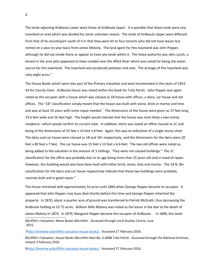The lands adjoining Ardboula Lower were those of Ardboula Upper. It is possible that these lands were one townland or area which was divided for some unknown reason. The lands of Ardboula Upper were different from that of its counterpart south of it in that they were let to four tenants who did not have leases but rented on a year-to-year basis from James Molony. The land agent for this townland was John Pepper, although he did not reside there or appear to have any lands within it. The listed authority was John Lynch, a tenant in the area who appeared to have resided near the Affick River which was noted for being the water source for this townland. This townland also produced potatoes and oats. The acreage of this townland was sixty-eight acres.<sup>[6](#page-3-0)</sup>

The House Books which were also part of the Primary Valuation and were enumerated in the years of 1853- 54 for County Clare. Ardboula House was noted within the book for Tulla Parish. John Pepper was again noted as the occupier with a house which was classed as 1B house with offices, a dairy, car house and old offices. The "1B" classification simply meant that the house was built with stone, brick or mortar and lime and was at least 25 years with some repair needed.<sup>[7](#page-3-1)</sup> The dimensions of the house were given as 37 feet long, 19.6 feet wide and 16 feet high. The height would indicate that the house was most likely a two-storey residence –which would confirm its current style. In addition, there was noted an office classed as 1C and being of the dimensions of 32 feet x 14 feet x 8 feet. Again, this was an indication of a single storey shed. The dairy and car house were classed as 1B and 1B+ respectively, and the dimensions for the dairy were 20 feet x 80 feet x 7 feet. The car house was 15 feet x 13 feet x 6.6 feet. The two old offices were noted as being added to the valuation in the amount of 3 shillings. They were not classed buildings.<sup>[8](#page-3-2)</sup> The 1C classification for the office was probably due to its age being more than 25 years old and in need of repair. However, this building would also have been built with either brick, stone, lime and mortar. The 1B & 1B+ classification for the dairy and car house respectively indicate that those two buildings were probably recently built and in good repair.<sup>[9](#page-3-3)</sup>

The house remained with approximately 54 acres until 1869 when George Pepper became its occupier. It appeared that John Pepper may have died shortly before this time and George Pepper inherited the property. In 1870, about a quarter acre of ground was transferred to Patrick McGrath, thus decreasing the Ardboula holding to 53.75 acres. William Mills Molony was noted as the lessor in fee due to the death of James Molony in 1874. In 1879, Margaret Pepper became the occupier of Ardboula. In 1896, the lands 6Griffith's Valuation. Name Books Microfilm. Accessed through Local Studies Centre, June 2015.

<span id="page-3-1"></span><span id="page-3-0"></span>[7http://timeline.ie/griffiths-valuation-house-books/.](http://timeline.ie/griffiths-valuation-house-books/) Accessed 27 February 2016.

<span id="page-3-2"></span>8Griffith's Valuation, House Books Microfilm Reel No. 5.0088 Tulla Parish. Accessed through the National Archives, Ireland 3 February 2016.

<span id="page-3-3"></span>[9http://timeline.ie/griffiths-valuation-house-books/.](http://timeline.ie/griffiths-valuation-house-books/) Accessed 27 February 2016.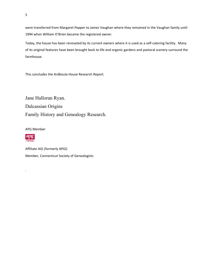were transferred from Margaret Pepper to James Vaughan where they remained in the Vaughan family until 1994 when William O'Brien became the registered owner.

Today, the house has been renovated by its current owners where it is used as a self-catering facility. Many of its original features have been brought back to life and organic gardens and pastoral scenery surround the farmhouse.

This concludes the Ardboula House Research Report.

Jane Halloran Ryan. Dalcassian Origins Family History and Genealogy Research.

APG Member



.

Affiliate AGI (formerly APGI) Member, Connecticut Society of Genealogists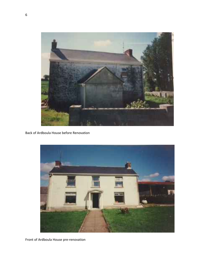

Back of Ardboula House before Renovation



Front of Ardboula House pre-renovation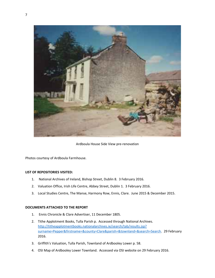

Ardboula House Side View pre-renovation

Photos courtesy of Ardboula Farmhouse.

## **LIST OF REPOSITORIES VISITED:**

- 1. National Archives of Ireland, Bishop Street, Dublin 8. 3 February 2016.
- 2. Valuation Office, Irish Life Centre, Abbey Street, Dublin 1. 3 February 2016.
- 3. Local Studies Centre, The Manse, Harmony Row, Ennis, Clare. June 2015 & December 2015.

## **DOCUMENTS ATTACHED TO THE REPORT**

- 1. Ennis Chronicle & Clare Advertiser, 11 December 1805.
- 2. Tithe Applotment Books, Tulla Parish p. Accessed through National Archives. [http://titheapplotmentbooks.nationalarchives.ie/search/tab/results.jsp?](http://titheapplotmentbooks.nationalarchives.ie/search/tab/results.jsp?surname=Pepper&firstname=&county=Clare&parish=&townland=&search=Search) [surname=Pepper&firstname=&county=Clare&parish=&townland=&search=Search.](http://titheapplotmentbooks.nationalarchives.ie/search/tab/results.jsp?surname=Pepper&firstname=&county=Clare&parish=&townland=&search=Search) 29 February 2016.
- 3. Griffith's Valuation, Tulla Parish, Townland of Ardbooley Lower p. 58.
- 4. OSI Map of Ardbooley Lower Townland. Accessed via OSI website on 29 February 2016.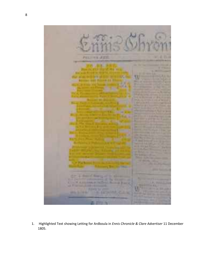

1. Highlighted Text showing Letting for Ardboula in *Ennis Chronicle & Clare Advertiser* 11 December 1805.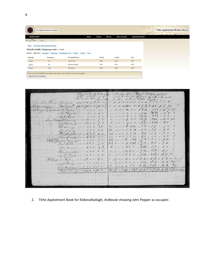|                  | The National Archives of Ireland              |                                                                                       |                |                                       |                          | ourcains | Tithe Applotment Books, 1823-37 |  |
|------------------|-----------------------------------------------|---------------------------------------------------------------------------------------|----------------|---------------------------------------|--------------------------|----------|---------------------------------|--|
| <b>GENEALOGY</b> |                                               |                                                                                       | Search<br>Home | <b>Browse</b><br><b>How to Search</b> | <b>About the Records</b> |          |                                 |  |
|                  | CE                                            |                                                                                       |                |                                       |                          |          |                                 |  |
|                  | Home / Search the Tithe Applotment Books /    |                                                                                       |                |                                       |                          |          |                                 |  |
|                  |                                               |                                                                                       |                |                                       |                          |          |                                 |  |
|                  | Search results: Displaying results 1 - 3 of 3 |                                                                                       |                |                                       |                          |          |                                 |  |
|                  |                                               | Sort by: Relevance / Surname / Forename / Townland or City / Parish / County / Year / |                |                                       |                          |          |                                 |  |
| <b>Surname</b>   | Forename                                      | <b>Townland/Street</b>                                                                | Parish         | County                                | Year                     |          |                                 |  |
| Pepper           | Jas                                           | Tulla Town                                                                            | Tulla          | Clare                                 | 1826                     |          |                                 |  |
| Pepper           | $J_{\rm HO}$                                  | Kildonalcallagh                                                                       | Tulla          | Clare                                 | 1826                     |          |                                 |  |

|                                           | To good 2 Dunling 3 Quality       |                                                                                                                                                                     |                                                                                                                                    |  |
|-------------------------------------------|-----------------------------------|---------------------------------------------------------------------------------------------------------------------------------------------------------------------|------------------------------------------------------------------------------------------------------------------------------------|--|
| Journ Land Throws Compions AQOA Q O A Q   |                                   |                                                                                                                                                                     | We artly Total Rebend al Stilles of Total at Samment<br>at 5 % 30 Tumber When the factory & Smoont<br>A Q & A Q & L S & L & L & 30 |  |
|                                           |                                   |                                                                                                                                                                     |                                                                                                                                    |  |
| Sildenalez  Boorford, 74009200790         |                                   | 0 0 0 0 265 0 0 9 22 2 16 5 11 5 72                                                                                                                                 |                                                                                                                                    |  |
| = ballagh School . " Cepper That had a 80 |                                   |                                                                                                                                                                     |                                                                                                                                    |  |
|                                           | Mich Degition da 0 500 100        |                                                                                                                                                                     |                                                                                                                                    |  |
|                                           | Mail fones noo 500 100            |                                                                                                                                                                     |                                                                                                                                    |  |
| about Ridupon Carry 000 1200 1 2          |                                   | $0$ 000 $\theta$ 20 " 11 /2 " 3 /02 " 15 6 420                                                                                                                      |                                                                                                                                    |  |
|                                           | Mich: Canny 0.0 01200. 1. 2       | 0 00 0 19 2 0 0 11 72 " 3 102 " 15 6                                                                                                                                |                                                                                                                                    |  |
|                                           |                                   | 200000320.53.19.70                                                                                                                                                  |                                                                                                                                    |  |
| 1. His Carry 800 500 33                   |                                   |                                                                                                                                                                     |                                                                                                                                    |  |
|                                           | .  Clancy 000 500 33              | 20 00 0 8 3 20 , 5 3 , 1 9 , 7 0                                                                                                                                    |                                                                                                                                    |  |
| Fici Dudice 00042030                      |                                   | $20$ 000 7 2 20 , 46 , 16 , 60                                                                                                                                      |                                                                                                                                    |  |
|                                           |                                   | $\begin{array}{cccccccccccccc} 20 & 0 & 0 & 0 & 7 & 2 & 20 & 4 & 6 & 6 & 7 & 6 & 6 & 0 \\ 32 & 0 & 0 & 0 & 72 & 2 & 32 & 7 & 8 & 8 & 2 & 5 & 6 & 9 & 8 \end{array}$ |                                                                                                                                    |  |
| Mixing tich Courage 0 0 520 10            |                                   |                                                                                                                                                                     |                                                                                                                                    |  |
|                                           | Dan. Section 000020 10            | 32000R222172.727                                                                                                                                                    |                                                                                                                                    |  |
|                                           |                                   | 000020, 4 px 1 1 2 6 6                                                                                                                                              |                                                                                                                                    |  |
|                                           | $T''$ Breen, 0 00 400 42          |                                                                                                                                                                     |                                                                                                                                    |  |
|                                           | That Counghand " 630 100          | $0$ 0 c 0 16 3 0 1 9 54, 3 14 1 12 y                                                                                                                                |                                                                                                                                    |  |
|                                           | Much Cominghand 0 0 6 3 0 10 0    | $0$ do $0$ dh $3$ d a $9$ 54 a $313$ c 12 $7$ 430                                                                                                                   |                                                                                                                                    |  |
| Willip ho Toyou 000/200 140               |                                   |                                                                                                                                                                     |                                                                                                                                    |  |
|                                           |                                   | $\frac{0}{0}$ 17 0 0 13 0 0 1 3 5% 1 6 9% 1 7 3 50 days of                                                                                                          |                                                                                                                                    |  |
|                                           | ellech? Dealey 00 1 1 0 0 5 0.    |                                                                                                                                                                     |                                                                                                                                    |  |
|                                           | don't . Indiana 000 10050         | 0 0 0 0 6 0 0 0 3 24 " 1 0 3 - 4 3 3                                                                                                                                |                                                                                                                                    |  |
|                                           | Cancel cars 90 0 0 193 2 0 198 3: | 24 27 0 0 509 / 2415 19 10 5 6 7221 6 52 50 3 Montano                                                                                                               |                                                                                                                                    |  |
|                                           |                                   |                                                                                                                                                                     |                                                                                                                                    |  |
|                                           |                                   |                                                                                                                                                                     |                                                                                                                                    |  |
|                                           |                                   |                                                                                                                                                                     |                                                                                                                                    |  |
|                                           |                                   |                                                                                                                                                                     |                                                                                                                                    |  |
|                                           |                                   |                                                                                                                                                                     |                                                                                                                                    |  |

2. Tithe Applotment Book for Kildonalballagh, Ardboule showing John Pepper as occupier.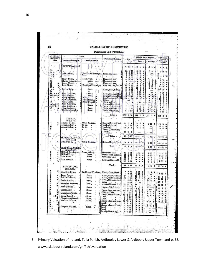| Rateable Annual Valuation.<br>of Reference to<br>Description of Tenement.<br>Valuation<br>of Ratesble<br>Immediate Lessors.<br>Towniands and Occupiers.<br>Land.<br>Buildings<br>Property.<br>AFFICK-continued.<br>훀<br>d.<br>E. P.<br>×.<br>e<br>匠<br>$\cdot$<br>£<br>z.<br>đ.<br>10<br>3 <sub>17</sub><br>216<br>0<br>0<br>$-5$<br>3<br>$\pmb{o}$<br>$\bullet$<br>31 <sub>a</sub><br>$\boldsymbol{2}$<br>310<br>ø<br>10<br>0<br><b>John Corbett</b><br>Rev. Jas. William Rynd<br>House and land,<br>0<br>$-$ B<br>$0^{0.25}$<br>$\overline{\mathbf{2}}$<br>5<br>0<br>'n<br>5<br>$-$ c<br>3<br>230<br>Δ<br>10<br>0<br>John Flynu,<br>Henry Byrne,<br>House and land,<br>215<br>×1<br>0.10<br>0<br>0<br>5.0<br>$0$ 15<br>O<br>33<br>Martin Flanagan,<br>Same.<br>House and land.<br>1<br>o<br>-0<br>O<br>5<br>0<br>$\mathbf o$<br>5<br>$\boldsymbol{\theta}$<br>010<br>$\mathbf o$<br>James Meany,<br>Same.<br>a<br>House and land,<br>1<br>1<br>18<br>$\bf{0}$<br>0<br>0<br>5<br>0<br>012<br>-0<br>John Flynn,<br>Rev. Jas. William Rynd<br>a<br>Herd's ho., off., and ld.<br>88<br>ı<br>42<br>33<br>$\bf{u}$<br>0<br>010<br>$\bf o$<br>42 10<br>$\bf{0}$<br>₫)<br>42<br>3<br>18<br>15<br>$\bf{0}$<br>0<br>$\ddot{\mathbf{0}}$<br>010<br>2215<br>$-$ B<br>Patrick Kelly,<br>Same,<br>House, office, & land,<br>14<br>2<br>o<br>32<br>7<br>5<br>0<br>$\mathbf{I}$<br>5<br>$\mathbf{11}$<br>2<br>15<br>0<br>o<br>2<br>15<br>John Considinc.<br>Same,<br>$A \times B$<br>House, offices, and land<br>é.<br>16<br>$\bf o$<br>12<br>G<br>10<br>0<br>010<br>o<br>7<br>o<br>O.<br>Peter Murphy. .<br>Sanie,<br>House, offices, and land,<br>20<br>$2 - 30$<br>T<br>10<br>Ù<br>010.<br>O<br>o<br>8<br>Ő<br>Henry Spaight, .<br>In fee.<br>$\alpha$<br>Herd'sho, hos., off., & ld.<br>145<br>120<br>88<br>$\sigma$<br>o<br>20<br>o<br>0<br>90<br>0<br>Martin Donohoe,<br>John Halloran, .<br>c<br>House,<br>$0 - 5$<br>0<br>5<br>0<br>0<br>James Ready.<br>Henry Spaight, .<br>House and land,<br>1<br>15<br>1<br>$\mathbf{0}$<br>o<br>o<br>$\theta$<br>ъ<br>۰<br>u<br>1<br>o<br>Anne Mulconry.<br>$A\alpha$<br>House, office, & land,<br>R<br>$\mathbf{0}$ .<br>O<br>Same,<br>0<br>5<br>$\bf{0}$<br>2<br>5<br>O<br>5<br>1 30<br>٠<br>b<br>Peter Donohoe<br>Honse, office, &land,<br>ï<br>5<br>o<br>0<br>5<br>0<br>1 10<br>0<br>John Hustings, .<br>Same.<br>$\alpha$<br>House, office, and land,<br>ı<br>L<br>$\mathbf{0}$<br>0<br>15<br>û<br>010.0<br>15<br>0<br>Thaddeus Murphy,<br>Same,<br>House and garden,<br>1<br>30<br>0<br>O.<br>5<br>0<br>o<br>5<br>$\bf{0}$<br>010<br>o<br>Total,<br>1679<br>015<br>T.<br>336<br>D.<br>17<br>$\mathbf{7}$<br>0<br>353 8<br>$\bf{0}$<br>ANNAGH.<br>(Ord. S. 27.)<br>ı<br>Michael Hogan,<br>James Maloney,<br>$\alpha$<br>House, offices, and land.<br>31<br>60<br>15<br>5.<br>$\bf{0}$<br>015<br>$\mathbf{0}$<br>16<br>$\bf{0}$<br>$\mathbf{0}$<br>ò<br>James Molony, .<br>In fee,<br>t at es<br>Land (plantation),<br>0<br>1<br>20<br>$\bf{u}$<br>$\ddot{\phantom{a}}$<br>$\mathbf{o}$<br>0<br>4<br>$\mathbf o$<br>James Molony, .<br>In fee,<br>Land (bog),<br>12<br>26<br>c<br>ū<br>$\mathbf 0$<br>Û<br>$\pmb{\sigma}$<br>o<br>Water (Cloondoorney<br>Lough),<br>17<br>o<br>-1<br>Total. .<br>75/<br>0.23<br>15 15<br>Ø<br>$0$ I5<br>$\bf{0}$<br>16 10 0<br><b>ARDBOOLY,LOWER</b><br>(Orl, S, 27)<br>1<br>John Pepper.<br>James Moloney,<br>Honse, offices, and land,<br>54<br>18<br>40<br>o<br>$\bf{0}$<br>3 10<br>$\bf{0}$<br>$-43$ 10<br>a<br>Total,<br>54<br>8<br>40<br>10<br>$\sqrt{0}$<br>310<br>o<br>43 10 0<br><b>ARDBOOLY, UPPER.</b><br>(Ord. S. 27.)<br>Michael Cunningham,<br>James Molony<br>$\alpha$<br>House and land,<br>10<br>3 31<br>415<br>$\bf{o}$<br>010<br>$\mathbf o$<br>ū<br>5 5<br>0<br>a<br>Michael Dooly, .<br>Same,<br>House, office, and land<br>14<br>234<br>8<br>5<br>$\bf{0}$<br>$010 -$<br>$\theta$<br>8 15<br>o<br>John Lillis,<br>Same,<br>$\alpha$<br>House and land,<br>0<br>12<br>ā<br>14<br>$\bf{0}$<br>0<br>$\mathbf{0}$<br>5<br>0<br>5<br>4<br>$\mathbf{o}$<br>4<br>a,<br>11<br>$\mathbf a$<br>8<br>John Baulton,<br>$-4$<br>5<br>0<br>o<br>5<br>Same,<br>0<br>Houses, offices, & Id.<br>$\overline{a}$<br>8 15<br>12<br>3 34<br>0<br>4<br>0<br>$\mathbf 0$<br>0<br>5<br>$\bf{0}$<br>Total,<br>68<br>.032<br>25<br>5<br>$\overline{\mathbf{0}}$<br>1 15<br>ŋ<br>$27^{\circ}0^{\circ}0$<br>BALLYBLOOD.<br>(Ord, S. 35.)<br>ı<br>a)<br>10<br>3 35<br>з<br>Thaddeus Byrne,<br>15<br>Col. George Wyndham, House, offices, &land,<br>o<br>$\mathbf{o}$ .<br>ı<br>o<br>0.1001001<br>8 10 0<br>030<br>б<br>-3<br>15<br>o<br>James Greene. .<br>a<br>Same,<br>House, offices, and land.<br>27<br>1 10<br>12<br>$\bf{0}$<br>o<br>1<br>5<br>0<br>13<br>5<br>$\bf{0}$<br>Patrick Halloran,<br>a<br>Same,<br>House, office, and land,<br>33<br>1 25<br>18<br>o<br>0<br>015.0<br>18 15<br>o<br>a<br>House, office, and land,<br>91<br>$\begin{array}{c} 2 & 34 \\ 3 & 80 \end{array}$<br>42<br>Daniel Reddan, .<br>10<br>0<br>212<br>Same,<br>$\bf{0}$<br>Land,<br>45<br>1<br>o<br>0<br>.3:<br>0<br>Thaddeus Stephens,<br>$\alpha$<br>Same,<br>House, office, and land,<br>25<br>320<br>14<br>$\mathbf{0}$ .<br>0<br>$015 - 0$<br>14 15<br>0<br>c<br>243<br>92<br>Anne Kenniry, .<br>10<br>$\mathbf{0}$<br>Same,<br>0<br>House, office, & land,<br>010<br>$\cdot$ 0<br>ø<br>ı<br>19<br>$\mathbf{a}$<br>n<br>5.<br>$\Omega$<br>10<br>1<br>10<br>19<br>Patrick Daly,<br>Same,<br>House, forge, and land,<br>$\alpha$<br>010<br>20<br>10<br>$\pmb{\mathfrak{g}}$<br>$\cdot$ 0<br>$\begin{smallmatrix} 0 & 10 \\ 0 & 5 \end{smallmatrix}$<br>10 10<br>$\bf{0}$<br>o<br>n<br>$\pmb{\alpha}$<br>Office and land,<br>$\frac{18}{78}$ : 2 20<br>Cornelius M'Grath,<br>$\frac{8}{43}$<br>5<br>0<br>Same,<br>$\begin{array}{c} 810.0 \\ 47.0 \\ 014.0 \\ 01.0 \end{array}$<br>$\bf{0}$<br>72<br>a<br>House, offices, and land.<br>$\pmb{\sigma}$<br>$\pmb{o}$<br>4<br>$\pmb{\sigma}$<br>0<br>Eryan Connell. .<br>326<br>Same,<br>-<br>Land,<br>$\frac{1}{0}$<br>035<br>1014<br>$\bf{0}$<br>John James Connell.<br>đ<br>$\frac{1}{13}$<br>$\frac{1}{15}$<br>$\frac{1}{15}$<br>$\frac{1}{15}$<br>Same.<br>Land,<br>0.25<br>0<br>${\bf 1}$<br>$\mathbf 0$<br>Matthew M'Grath.<br>$\alpha$<br>Same,<br>House, office, and land,<br>$10^{12}$ 0<br> 815<br>- 0<br>015<br>910 <sub>z</sub> 0<br>$\cdot$ 0<br>×<br>Land,<br>7<br>3 <sub>5</sub><br>$\begin{array}{cc} 4 & 5 \\ 0 & 15 \end{array}$<br>$\mathbf{0}$<br>House, office, and land,<br>$\alpha$<br>$\vec{\mathbf{0}}$<br>ı<br>0,20<br>B.<br>$\boldsymbol{0}$<br>0<br>Margaret M'Grath,<br>Same,<br>Land,<br>0<br>0<br>0<br>5<br>335<br><b>GSS</b><br>$\begin{smallmatrix}0\0\0\end{smallmatrix}$<br>715<br>$\mathbf 0$<br>$\tilde{\mathbf{r}}^{\mathbf{a}}$<br>÷<br>Land,<br>$\vec{V}$<br>r<br>š<br>1 10<br>ï<br>Land (reclaimed bog).<br>B.<br>2 10<br>$\mathbf{0}$ |                           | <b>PARISH OF TULLA</b> |  |  |              |
|----------------------------------------------------------------------------------------------------------------------------------------------------------------------------------------------------------------------------------------------------------------------------------------------------------------------------------------------------------------------------------------------------------------------------------------------------------------------------------------------------------------------------------------------------------------------------------------------------------------------------------------------------------------------------------------------------------------------------------------------------------------------------------------------------------------------------------------------------------------------------------------------------------------------------------------------------------------------------------------------------------------------------------------------------------------------------------------------------------------------------------------------------------------------------------------------------------------------------------------------------------------------------------------------------------------------------------------------------------------------------------------------------------------------------------------------------------------------------------------------------------------------------------------------------------------------------------------------------------------------------------------------------------------------------------------------------------------------------------------------------------------------------------------------------------------------------------------------------------------------------------------------------------------------------------------------------------------------------------------------------------------------------------------------------------------------------------------------------------------------------------------------------------------------------------------------------------------------------------------------------------------------------------------------------------------------------------------------------------------------------------------------------------------------------------------------------------------------------------------------------------------------------------------------------------------------------------------------------------------------------------------------------------------------------------------------------------------------------------------------------------------------------------------------------------------------------------------------------------------------------------------------------------------------------------------------------------------------------------------------------------------------------------------------------------------------------------------------------------------------------------------------------------------------------------------------------------------------------------------------------------------------------------------------------------------------------------------------------------------------------------------------------------------------------------------------------------------------------------------------------------------------------------------------------------------------------------------------------------------------------------------------------------------------------------------------------------------------------------------------------------------------------------------------------------------------------------------------------------------------------------------------------------------------------------------------------------------------------------------------------------------------------------------------------------------------------------------------------------------------------------------------------------------------------------------------------------------------------------------------------------------------------------------------------------------------------------------------------------------------------------------------------------------------------------------------------------------------------------------------------------------------------------------------------------------------------------------------------------------------------------------------------------------------------------------------------------------------------------------------------------------------------------------------------------------------------------------------------------------------------------------------------------------------------------------------------------------------------------------------------------------------------------------------------------------------------------------------------------------------------------------------------------------------------------------------------------------------------------------------------------------------------------------------------------------------------------------------------------------------------------------------------------------------------------------------------------------------------------------------------------------------------------------------------------------------------------------------------------------------------------------------------------------------------------------------------------------------------------------------------------------------------------------------------------------------------------------------------------------------------------------------------------------------------------------------------------------------------------------------------------------------------------------------------------------------------------------------------------------------------------------------------------------------------------------------------------------------------------------------------------------------------------------------------------------------------------------------------------------------------------------------------------------------------------------------------------------------------------------------------------------------------------------------------------------------------------------------------------------------------------------------------------------------------------------------------------------------------------------------------------------------------------------------------------------------------------------------------------------------------------|---------------------------|------------------------|--|--|--------------|
|                                                                                                                                                                                                                                                                                                                                                                                                                                                                                                                                                                                                                                                                                                                                                                                                                                                                                                                                                                                                                                                                                                                                                                                                                                                                                                                                                                                                                                                                                                                                                                                                                                                                                                                                                                                                                                                                                                                                                                                                                                                                                                                                                                                                                                                                                                                                                                                                                                                                                                                                                                                                                                                                                                                                                                                                                                                                                                                                                                                                                                                                                                                                                                                                                                                                                                                                                                                                                                                                                                                                                                                                                                                                                                                                                                                                                                                                                                                                                                                                                                                                                                                                                                                                                                                                                                                                                                                                                                                                                                                                                                                                                                                                                                                                                                                                                                                                                                                                                                                                                                                                                                                                                                                                                                                                                                                                                                                                                                                                                                                                                                                                                                                                                                                                                                                                                                                                                                                                                                                                                                                                                                                                                                                                                                                                                                                                                                                                                                                                                                                                                                                                                                                                                                                                                                                                                                                                                  | Names.<br>No. and Letters |                        |  |  | Total Annoal |
|                                                                                                                                                                                                                                                                                                                                                                                                                                                                                                                                                                                                                                                                                                                                                                                                                                                                                                                                                                                                                                                                                                                                                                                                                                                                                                                                                                                                                                                                                                                                                                                                                                                                                                                                                                                                                                                                                                                                                                                                                                                                                                                                                                                                                                                                                                                                                                                                                                                                                                                                                                                                                                                                                                                                                                                                                                                                                                                                                                                                                                                                                                                                                                                                                                                                                                                                                                                                                                                                                                                                                                                                                                                                                                                                                                                                                                                                                                                                                                                                                                                                                                                                                                                                                                                                                                                                                                                                                                                                                                                                                                                                                                                                                                                                                                                                                                                                                                                                                                                                                                                                                                                                                                                                                                                                                                                                                                                                                                                                                                                                                                                                                                                                                                                                                                                                                                                                                                                                                                                                                                                                                                                                                                                                                                                                                                                                                                                                                                                                                                                                                                                                                                                                                                                                                                                                                                                                                  |                           |                        |  |  |              |
|                                                                                                                                                                                                                                                                                                                                                                                                                                                                                                                                                                                                                                                                                                                                                                                                                                                                                                                                                                                                                                                                                                                                                                                                                                                                                                                                                                                                                                                                                                                                                                                                                                                                                                                                                                                                                                                                                                                                                                                                                                                                                                                                                                                                                                                                                                                                                                                                                                                                                                                                                                                                                                                                                                                                                                                                                                                                                                                                                                                                                                                                                                                                                                                                                                                                                                                                                                                                                                                                                                                                                                                                                                                                                                                                                                                                                                                                                                                                                                                                                                                                                                                                                                                                                                                                                                                                                                                                                                                                                                                                                                                                                                                                                                                                                                                                                                                                                                                                                                                                                                                                                                                                                                                                                                                                                                                                                                                                                                                                                                                                                                                                                                                                                                                                                                                                                                                                                                                                                                                                                                                                                                                                                                                                                                                                                                                                                                                                                                                                                                                                                                                                                                                                                                                                                                                                                                                                                  |                           |                        |  |  |              |
|                                                                                                                                                                                                                                                                                                                                                                                                                                                                                                                                                                                                                                                                                                                                                                                                                                                                                                                                                                                                                                                                                                                                                                                                                                                                                                                                                                                                                                                                                                                                                                                                                                                                                                                                                                                                                                                                                                                                                                                                                                                                                                                                                                                                                                                                                                                                                                                                                                                                                                                                                                                                                                                                                                                                                                                                                                                                                                                                                                                                                                                                                                                                                                                                                                                                                                                                                                                                                                                                                                                                                                                                                                                                                                                                                                                                                                                                                                                                                                                                                                                                                                                                                                                                                                                                                                                                                                                                                                                                                                                                                                                                                                                                                                                                                                                                                                                                                                                                                                                                                                                                                                                                                                                                                                                                                                                                                                                                                                                                                                                                                                                                                                                                                                                                                                                                                                                                                                                                                                                                                                                                                                                                                                                                                                                                                                                                                                                                                                                                                                                                                                                                                                                                                                                                                                                                                                                                                  | 30                        |                        |  |  |              |
|                                                                                                                                                                                                                                                                                                                                                                                                                                                                                                                                                                                                                                                                                                                                                                                                                                                                                                                                                                                                                                                                                                                                                                                                                                                                                                                                                                                                                                                                                                                                                                                                                                                                                                                                                                                                                                                                                                                                                                                                                                                                                                                                                                                                                                                                                                                                                                                                                                                                                                                                                                                                                                                                                                                                                                                                                                                                                                                                                                                                                                                                                                                                                                                                                                                                                                                                                                                                                                                                                                                                                                                                                                                                                                                                                                                                                                                                                                                                                                                                                                                                                                                                                                                                                                                                                                                                                                                                                                                                                                                                                                                                                                                                                                                                                                                                                                                                                                                                                                                                                                                                                                                                                                                                                                                                                                                                                                                                                                                                                                                                                                                                                                                                                                                                                                                                                                                                                                                                                                                                                                                                                                                                                                                                                                                                                                                                                                                                                                                                                                                                                                                                                                                                                                                                                                                                                                                                                  |                           |                        |  |  |              |
|                                                                                                                                                                                                                                                                                                                                                                                                                                                                                                                                                                                                                                                                                                                                                                                                                                                                                                                                                                                                                                                                                                                                                                                                                                                                                                                                                                                                                                                                                                                                                                                                                                                                                                                                                                                                                                                                                                                                                                                                                                                                                                                                                                                                                                                                                                                                                                                                                                                                                                                                                                                                                                                                                                                                                                                                                                                                                                                                                                                                                                                                                                                                                                                                                                                                                                                                                                                                                                                                                                                                                                                                                                                                                                                                                                                                                                                                                                                                                                                                                                                                                                                                                                                                                                                                                                                                                                                                                                                                                                                                                                                                                                                                                                                                                                                                                                                                                                                                                                                                                                                                                                                                                                                                                                                                                                                                                                                                                                                                                                                                                                                                                                                                                                                                                                                                                                                                                                                                                                                                                                                                                                                                                                                                                                                                                                                                                                                                                                                                                                                                                                                                                                                                                                                                                                                                                                                                                  | $3\overline{5}$           |                        |  |  |              |
|                                                                                                                                                                                                                                                                                                                                                                                                                                                                                                                                                                                                                                                                                                                                                                                                                                                                                                                                                                                                                                                                                                                                                                                                                                                                                                                                                                                                                                                                                                                                                                                                                                                                                                                                                                                                                                                                                                                                                                                                                                                                                                                                                                                                                                                                                                                                                                                                                                                                                                                                                                                                                                                                                                                                                                                                                                                                                                                                                                                                                                                                                                                                                                                                                                                                                                                                                                                                                                                                                                                                                                                                                                                                                                                                                                                                                                                                                                                                                                                                                                                                                                                                                                                                                                                                                                                                                                                                                                                                                                                                                                                                                                                                                                                                                                                                                                                                                                                                                                                                                                                                                                                                                                                                                                                                                                                                                                                                                                                                                                                                                                                                                                                                                                                                                                                                                                                                                                                                                                                                                                                                                                                                                                                                                                                                                                                                                                                                                                                                                                                                                                                                                                                                                                                                                                                                                                                                                  | 34<br>35                  |                        |  |  |              |
|                                                                                                                                                                                                                                                                                                                                                                                                                                                                                                                                                                                                                                                                                                                                                                                                                                                                                                                                                                                                                                                                                                                                                                                                                                                                                                                                                                                                                                                                                                                                                                                                                                                                                                                                                                                                                                                                                                                                                                                                                                                                                                                                                                                                                                                                                                                                                                                                                                                                                                                                                                                                                                                                                                                                                                                                                                                                                                                                                                                                                                                                                                                                                                                                                                                                                                                                                                                                                                                                                                                                                                                                                                                                                                                                                                                                                                                                                                                                                                                                                                                                                                                                                                                                                                                                                                                                                                                                                                                                                                                                                                                                                                                                                                                                                                                                                                                                                                                                                                                                                                                                                                                                                                                                                                                                                                                                                                                                                                                                                                                                                                                                                                                                                                                                                                                                                                                                                                                                                                                                                                                                                                                                                                                                                                                                                                                                                                                                                                                                                                                                                                                                                                                                                                                                                                                                                                                                                  | 36 A                      |                        |  |  |              |
|                                                                                                                                                                                                                                                                                                                                                                                                                                                                                                                                                                                                                                                                                                                                                                                                                                                                                                                                                                                                                                                                                                                                                                                                                                                                                                                                                                                                                                                                                                                                                                                                                                                                                                                                                                                                                                                                                                                                                                                                                                                                                                                                                                                                                                                                                                                                                                                                                                                                                                                                                                                                                                                                                                                                                                                                                                                                                                                                                                                                                                                                                                                                                                                                                                                                                                                                                                                                                                                                                                                                                                                                                                                                                                                                                                                                                                                                                                                                                                                                                                                                                                                                                                                                                                                                                                                                                                                                                                                                                                                                                                                                                                                                                                                                                                                                                                                                                                                                                                                                                                                                                                                                                                                                                                                                                                                                                                                                                                                                                                                                                                                                                                                                                                                                                                                                                                                                                                                                                                                                                                                                                                                                                                                                                                                                                                                                                                                                                                                                                                                                                                                                                                                                                                                                                                                                                                                                                  | 32<br>38                  |                        |  |  |              |
|                                                                                                                                                                                                                                                                                                                                                                                                                                                                                                                                                                                                                                                                                                                                                                                                                                                                                                                                                                                                                                                                                                                                                                                                                                                                                                                                                                                                                                                                                                                                                                                                                                                                                                                                                                                                                                                                                                                                                                                                                                                                                                                                                                                                                                                                                                                                                                                                                                                                                                                                                                                                                                                                                                                                                                                                                                                                                                                                                                                                                                                                                                                                                                                                                                                                                                                                                                                                                                                                                                                                                                                                                                                                                                                                                                                                                                                                                                                                                                                                                                                                                                                                                                                                                                                                                                                                                                                                                                                                                                                                                                                                                                                                                                                                                                                                                                                                                                                                                                                                                                                                                                                                                                                                                                                                                                                                                                                                                                                                                                                                                                                                                                                                                                                                                                                                                                                                                                                                                                                                                                                                                                                                                                                                                                                                                                                                                                                                                                                                                                                                                                                                                                                                                                                                                                                                                                                                                  | 391000<br>40              |                        |  |  |              |
|                                                                                                                                                                                                                                                                                                                                                                                                                                                                                                                                                                                                                                                                                                                                                                                                                                                                                                                                                                                                                                                                                                                                                                                                                                                                                                                                                                                                                                                                                                                                                                                                                                                                                                                                                                                                                                                                                                                                                                                                                                                                                                                                                                                                                                                                                                                                                                                                                                                                                                                                                                                                                                                                                                                                                                                                                                                                                                                                                                                                                                                                                                                                                                                                                                                                                                                                                                                                                                                                                                                                                                                                                                                                                                                                                                                                                                                                                                                                                                                                                                                                                                                                                                                                                                                                                                                                                                                                                                                                                                                                                                                                                                                                                                                                                                                                                                                                                                                                                                                                                                                                                                                                                                                                                                                                                                                                                                                                                                                                                                                                                                                                                                                                                                                                                                                                                                                                                                                                                                                                                                                                                                                                                                                                                                                                                                                                                                                                                                                                                                                                                                                                                                                                                                                                                                                                                                                                                  | Œ.                        |                        |  |  |              |
|                                                                                                                                                                                                                                                                                                                                                                                                                                                                                                                                                                                                                                                                                                                                                                                                                                                                                                                                                                                                                                                                                                                                                                                                                                                                                                                                                                                                                                                                                                                                                                                                                                                                                                                                                                                                                                                                                                                                                                                                                                                                                                                                                                                                                                                                                                                                                                                                                                                                                                                                                                                                                                                                                                                                                                                                                                                                                                                                                                                                                                                                                                                                                                                                                                                                                                                                                                                                                                                                                                                                                                                                                                                                                                                                                                                                                                                                                                                                                                                                                                                                                                                                                                                                                                                                                                                                                                                                                                                                                                                                                                                                                                                                                                                                                                                                                                                                                                                                                                                                                                                                                                                                                                                                                                                                                                                                                                                                                                                                                                                                                                                                                                                                                                                                                                                                                                                                                                                                                                                                                                                                                                                                                                                                                                                                                                                                                                                                                                                                                                                                                                                                                                                                                                                                                                                                                                                                                  | 12100                     |                        |  |  |              |
|                                                                                                                                                                                                                                                                                                                                                                                                                                                                                                                                                                                                                                                                                                                                                                                                                                                                                                                                                                                                                                                                                                                                                                                                                                                                                                                                                                                                                                                                                                                                                                                                                                                                                                                                                                                                                                                                                                                                                                                                                                                                                                                                                                                                                                                                                                                                                                                                                                                                                                                                                                                                                                                                                                                                                                                                                                                                                                                                                                                                                                                                                                                                                                                                                                                                                                                                                                                                                                                                                                                                                                                                                                                                                                                                                                                                                                                                                                                                                                                                                                                                                                                                                                                                                                                                                                                                                                                                                                                                                                                                                                                                                                                                                                                                                                                                                                                                                                                                                                                                                                                                                                                                                                                                                                                                                                                                                                                                                                                                                                                                                                                                                                                                                                                                                                                                                                                                                                                                                                                                                                                                                                                                                                                                                                                                                                                                                                                                                                                                                                                                                                                                                                                                                                                                                                                                                                                                                  | 43                        |                        |  |  |              |
|                                                                                                                                                                                                                                                                                                                                                                                                                                                                                                                                                                                                                                                                                                                                                                                                                                                                                                                                                                                                                                                                                                                                                                                                                                                                                                                                                                                                                                                                                                                                                                                                                                                                                                                                                                                                                                                                                                                                                                                                                                                                                                                                                                                                                                                                                                                                                                                                                                                                                                                                                                                                                                                                                                                                                                                                                                                                                                                                                                                                                                                                                                                                                                                                                                                                                                                                                                                                                                                                                                                                                                                                                                                                                                                                                                                                                                                                                                                                                                                                                                                                                                                                                                                                                                                                                                                                                                                                                                                                                                                                                                                                                                                                                                                                                                                                                                                                                                                                                                                                                                                                                                                                                                                                                                                                                                                                                                                                                                                                                                                                                                                                                                                                                                                                                                                                                                                                                                                                                                                                                                                                                                                                                                                                                                                                                                                                                                                                                                                                                                                                                                                                                                                                                                                                                                                                                                                                                  |                           |                        |  |  |              |
|                                                                                                                                                                                                                                                                                                                                                                                                                                                                                                                                                                                                                                                                                                                                                                                                                                                                                                                                                                                                                                                                                                                                                                                                                                                                                                                                                                                                                                                                                                                                                                                                                                                                                                                                                                                                                                                                                                                                                                                                                                                                                                                                                                                                                                                                                                                                                                                                                                                                                                                                                                                                                                                                                                                                                                                                                                                                                                                                                                                                                                                                                                                                                                                                                                                                                                                                                                                                                                                                                                                                                                                                                                                                                                                                                                                                                                                                                                                                                                                                                                                                                                                                                                                                                                                                                                                                                                                                                                                                                                                                                                                                                                                                                                                                                                                                                                                                                                                                                                                                                                                                                                                                                                                                                                                                                                                                                                                                                                                                                                                                                                                                                                                                                                                                                                                                                                                                                                                                                                                                                                                                                                                                                                                                                                                                                                                                                                                                                                                                                                                                                                                                                                                                                                                                                                                                                                                                                  |                           |                        |  |  |              |
|                                                                                                                                                                                                                                                                                                                                                                                                                                                                                                                                                                                                                                                                                                                                                                                                                                                                                                                                                                                                                                                                                                                                                                                                                                                                                                                                                                                                                                                                                                                                                                                                                                                                                                                                                                                                                                                                                                                                                                                                                                                                                                                                                                                                                                                                                                                                                                                                                                                                                                                                                                                                                                                                                                                                                                                                                                                                                                                                                                                                                                                                                                                                                                                                                                                                                                                                                                                                                                                                                                                                                                                                                                                                                                                                                                                                                                                                                                                                                                                                                                                                                                                                                                                                                                                                                                                                                                                                                                                                                                                                                                                                                                                                                                                                                                                                                                                                                                                                                                                                                                                                                                                                                                                                                                                                                                                                                                                                                                                                                                                                                                                                                                                                                                                                                                                                                                                                                                                                                                                                                                                                                                                                                                                                                                                                                                                                                                                                                                                                                                                                                                                                                                                                                                                                                                                                                                                                                  |                           |                        |  |  |              |
|                                                                                                                                                                                                                                                                                                                                                                                                                                                                                                                                                                                                                                                                                                                                                                                                                                                                                                                                                                                                                                                                                                                                                                                                                                                                                                                                                                                                                                                                                                                                                                                                                                                                                                                                                                                                                                                                                                                                                                                                                                                                                                                                                                                                                                                                                                                                                                                                                                                                                                                                                                                                                                                                                                                                                                                                                                                                                                                                                                                                                                                                                                                                                                                                                                                                                                                                                                                                                                                                                                                                                                                                                                                                                                                                                                                                                                                                                                                                                                                                                                                                                                                                                                                                                                                                                                                                                                                                                                                                                                                                                                                                                                                                                                                                                                                                                                                                                                                                                                                                                                                                                                                                                                                                                                                                                                                                                                                                                                                                                                                                                                                                                                                                                                                                                                                                                                                                                                                                                                                                                                                                                                                                                                                                                                                                                                                                                                                                                                                                                                                                                                                                                                                                                                                                                                                                                                                                                  |                           |                        |  |  |              |
|                                                                                                                                                                                                                                                                                                                                                                                                                                                                                                                                                                                                                                                                                                                                                                                                                                                                                                                                                                                                                                                                                                                                                                                                                                                                                                                                                                                                                                                                                                                                                                                                                                                                                                                                                                                                                                                                                                                                                                                                                                                                                                                                                                                                                                                                                                                                                                                                                                                                                                                                                                                                                                                                                                                                                                                                                                                                                                                                                                                                                                                                                                                                                                                                                                                                                                                                                                                                                                                                                                                                                                                                                                                                                                                                                                                                                                                                                                                                                                                                                                                                                                                                                                                                                                                                                                                                                                                                                                                                                                                                                                                                                                                                                                                                                                                                                                                                                                                                                                                                                                                                                                                                                                                                                                                                                                                                                                                                                                                                                                                                                                                                                                                                                                                                                                                                                                                                                                                                                                                                                                                                                                                                                                                                                                                                                                                                                                                                                                                                                                                                                                                                                                                                                                                                                                                                                                                                                  |                           |                        |  |  |              |
|                                                                                                                                                                                                                                                                                                                                                                                                                                                                                                                                                                                                                                                                                                                                                                                                                                                                                                                                                                                                                                                                                                                                                                                                                                                                                                                                                                                                                                                                                                                                                                                                                                                                                                                                                                                                                                                                                                                                                                                                                                                                                                                                                                                                                                                                                                                                                                                                                                                                                                                                                                                                                                                                                                                                                                                                                                                                                                                                                                                                                                                                                                                                                                                                                                                                                                                                                                                                                                                                                                                                                                                                                                                                                                                                                                                                                                                                                                                                                                                                                                                                                                                                                                                                                                                                                                                                                                                                                                                                                                                                                                                                                                                                                                                                                                                                                                                                                                                                                                                                                                                                                                                                                                                                                                                                                                                                                                                                                                                                                                                                                                                                                                                                                                                                                                                                                                                                                                                                                                                                                                                                                                                                                                                                                                                                                                                                                                                                                                                                                                                                                                                                                                                                                                                                                                                                                                                                                  |                           |                        |  |  |              |
|                                                                                                                                                                                                                                                                                                                                                                                                                                                                                                                                                                                                                                                                                                                                                                                                                                                                                                                                                                                                                                                                                                                                                                                                                                                                                                                                                                                                                                                                                                                                                                                                                                                                                                                                                                                                                                                                                                                                                                                                                                                                                                                                                                                                                                                                                                                                                                                                                                                                                                                                                                                                                                                                                                                                                                                                                                                                                                                                                                                                                                                                                                                                                                                                                                                                                                                                                                                                                                                                                                                                                                                                                                                                                                                                                                                                                                                                                                                                                                                                                                                                                                                                                                                                                                                                                                                                                                                                                                                                                                                                                                                                                                                                                                                                                                                                                                                                                                                                                                                                                                                                                                                                                                                                                                                                                                                                                                                                                                                                                                                                                                                                                                                                                                                                                                                                                                                                                                                                                                                                                                                                                                                                                                                                                                                                                                                                                                                                                                                                                                                                                                                                                                                                                                                                                                                                                                                                                  |                           |                        |  |  |              |
|                                                                                                                                                                                                                                                                                                                                                                                                                                                                                                                                                                                                                                                                                                                                                                                                                                                                                                                                                                                                                                                                                                                                                                                                                                                                                                                                                                                                                                                                                                                                                                                                                                                                                                                                                                                                                                                                                                                                                                                                                                                                                                                                                                                                                                                                                                                                                                                                                                                                                                                                                                                                                                                                                                                                                                                                                                                                                                                                                                                                                                                                                                                                                                                                                                                                                                                                                                                                                                                                                                                                                                                                                                                                                                                                                                                                                                                                                                                                                                                                                                                                                                                                                                                                                                                                                                                                                                                                                                                                                                                                                                                                                                                                                                                                                                                                                                                                                                                                                                                                                                                                                                                                                                                                                                                                                                                                                                                                                                                                                                                                                                                                                                                                                                                                                                                                                                                                                                                                                                                                                                                                                                                                                                                                                                                                                                                                                                                                                                                                                                                                                                                                                                                                                                                                                                                                                                                                                  |                           |                        |  |  |              |
|                                                                                                                                                                                                                                                                                                                                                                                                                                                                                                                                                                                                                                                                                                                                                                                                                                                                                                                                                                                                                                                                                                                                                                                                                                                                                                                                                                                                                                                                                                                                                                                                                                                                                                                                                                                                                                                                                                                                                                                                                                                                                                                                                                                                                                                                                                                                                                                                                                                                                                                                                                                                                                                                                                                                                                                                                                                                                                                                                                                                                                                                                                                                                                                                                                                                                                                                                                                                                                                                                                                                                                                                                                                                                                                                                                                                                                                                                                                                                                                                                                                                                                                                                                                                                                                                                                                                                                                                                                                                                                                                                                                                                                                                                                                                                                                                                                                                                                                                                                                                                                                                                                                                                                                                                                                                                                                                                                                                                                                                                                                                                                                                                                                                                                                                                                                                                                                                                                                                                                                                                                                                                                                                                                                                                                                                                                                                                                                                                                                                                                                                                                                                                                                                                                                                                                                                                                                                                  |                           |                        |  |  |              |
|                                                                                                                                                                                                                                                                                                                                                                                                                                                                                                                                                                                                                                                                                                                                                                                                                                                                                                                                                                                                                                                                                                                                                                                                                                                                                                                                                                                                                                                                                                                                                                                                                                                                                                                                                                                                                                                                                                                                                                                                                                                                                                                                                                                                                                                                                                                                                                                                                                                                                                                                                                                                                                                                                                                                                                                                                                                                                                                                                                                                                                                                                                                                                                                                                                                                                                                                                                                                                                                                                                                                                                                                                                                                                                                                                                                                                                                                                                                                                                                                                                                                                                                                                                                                                                                                                                                                                                                                                                                                                                                                                                                                                                                                                                                                                                                                                                                                                                                                                                                                                                                                                                                                                                                                                                                                                                                                                                                                                                                                                                                                                                                                                                                                                                                                                                                                                                                                                                                                                                                                                                                                                                                                                                                                                                                                                                                                                                                                                                                                                                                                                                                                                                                                                                                                                                                                                                                                                  | ı                         |                        |  |  |              |
|                                                                                                                                                                                                                                                                                                                                                                                                                                                                                                                                                                                                                                                                                                                                                                                                                                                                                                                                                                                                                                                                                                                                                                                                                                                                                                                                                                                                                                                                                                                                                                                                                                                                                                                                                                                                                                                                                                                                                                                                                                                                                                                                                                                                                                                                                                                                                                                                                                                                                                                                                                                                                                                                                                                                                                                                                                                                                                                                                                                                                                                                                                                                                                                                                                                                                                                                                                                                                                                                                                                                                                                                                                                                                                                                                                                                                                                                                                                                                                                                                                                                                                                                                                                                                                                                                                                                                                                                                                                                                                                                                                                                                                                                                                                                                                                                                                                                                                                                                                                                                                                                                                                                                                                                                                                                                                                                                                                                                                                                                                                                                                                                                                                                                                                                                                                                                                                                                                                                                                                                                                                                                                                                                                                                                                                                                                                                                                                                                                                                                                                                                                                                                                                                                                                                                                                                                                                                                  | s                         |                        |  |  |              |
|                                                                                                                                                                                                                                                                                                                                                                                                                                                                                                                                                                                                                                                                                                                                                                                                                                                                                                                                                                                                                                                                                                                                                                                                                                                                                                                                                                                                                                                                                                                                                                                                                                                                                                                                                                                                                                                                                                                                                                                                                                                                                                                                                                                                                                                                                                                                                                                                                                                                                                                                                                                                                                                                                                                                                                                                                                                                                                                                                                                                                                                                                                                                                                                                                                                                                                                                                                                                                                                                                                                                                                                                                                                                                                                                                                                                                                                                                                                                                                                                                                                                                                                                                                                                                                                                                                                                                                                                                                                                                                                                                                                                                                                                                                                                                                                                                                                                                                                                                                                                                                                                                                                                                                                                                                                                                                                                                                                                                                                                                                                                                                                                                                                                                                                                                                                                                                                                                                                                                                                                                                                                                                                                                                                                                                                                                                                                                                                                                                                                                                                                                                                                                                                                                                                                                                                                                                                                                  | 5                         |                        |  |  |              |
|                                                                                                                                                                                                                                                                                                                                                                                                                                                                                                                                                                                                                                                                                                                                                                                                                                                                                                                                                                                                                                                                                                                                                                                                                                                                                                                                                                                                                                                                                                                                                                                                                                                                                                                                                                                                                                                                                                                                                                                                                                                                                                                                                                                                                                                                                                                                                                                                                                                                                                                                                                                                                                                                                                                                                                                                                                                                                                                                                                                                                                                                                                                                                                                                                                                                                                                                                                                                                                                                                                                                                                                                                                                                                                                                                                                                                                                                                                                                                                                                                                                                                                                                                                                                                                                                                                                                                                                                                                                                                                                                                                                                                                                                                                                                                                                                                                                                                                                                                                                                                                                                                                                                                                                                                                                                                                                                                                                                                                                                                                                                                                                                                                                                                                                                                                                                                                                                                                                                                                                                                                                                                                                                                                                                                                                                                                                                                                                                                                                                                                                                                                                                                                                                                                                                                                                                                                                                                  |                           |                        |  |  |              |
|                                                                                                                                                                                                                                                                                                                                                                                                                                                                                                                                                                                                                                                                                                                                                                                                                                                                                                                                                                                                                                                                                                                                                                                                                                                                                                                                                                                                                                                                                                                                                                                                                                                                                                                                                                                                                                                                                                                                                                                                                                                                                                                                                                                                                                                                                                                                                                                                                                                                                                                                                                                                                                                                                                                                                                                                                                                                                                                                                                                                                                                                                                                                                                                                                                                                                                                                                                                                                                                                                                                                                                                                                                                                                                                                                                                                                                                                                                                                                                                                                                                                                                                                                                                                                                                                                                                                                                                                                                                                                                                                                                                                                                                                                                                                                                                                                                                                                                                                                                                                                                                                                                                                                                                                                                                                                                                                                                                                                                                                                                                                                                                                                                                                                                                                                                                                                                                                                                                                                                                                                                                                                                                                                                                                                                                                                                                                                                                                                                                                                                                                                                                                                                                                                                                                                                                                                                                                                  |                           |                        |  |  |              |
|                                                                                                                                                                                                                                                                                                                                                                                                                                                                                                                                                                                                                                                                                                                                                                                                                                                                                                                                                                                                                                                                                                                                                                                                                                                                                                                                                                                                                                                                                                                                                                                                                                                                                                                                                                                                                                                                                                                                                                                                                                                                                                                                                                                                                                                                                                                                                                                                                                                                                                                                                                                                                                                                                                                                                                                                                                                                                                                                                                                                                                                                                                                                                                                                                                                                                                                                                                                                                                                                                                                                                                                                                                                                                                                                                                                                                                                                                                                                                                                                                                                                                                                                                                                                                                                                                                                                                                                                                                                                                                                                                                                                                                                                                                                                                                                                                                                                                                                                                                                                                                                                                                                                                                                                                                                                                                                                                                                                                                                                                                                                                                                                                                                                                                                                                                                                                                                                                                                                                                                                                                                                                                                                                                                                                                                                                                                                                                                                                                                                                                                                                                                                                                                                                                                                                                                                                                                                                  |                           |                        |  |  |              |
|                                                                                                                                                                                                                                                                                                                                                                                                                                                                                                                                                                                                                                                                                                                                                                                                                                                                                                                                                                                                                                                                                                                                                                                                                                                                                                                                                                                                                                                                                                                                                                                                                                                                                                                                                                                                                                                                                                                                                                                                                                                                                                                                                                                                                                                                                                                                                                                                                                                                                                                                                                                                                                                                                                                                                                                                                                                                                                                                                                                                                                                                                                                                                                                                                                                                                                                                                                                                                                                                                                                                                                                                                                                                                                                                                                                                                                                                                                                                                                                                                                                                                                                                                                                                                                                                                                                                                                                                                                                                                                                                                                                                                                                                                                                                                                                                                                                                                                                                                                                                                                                                                                                                                                                                                                                                                                                                                                                                                                                                                                                                                                                                                                                                                                                                                                                                                                                                                                                                                                                                                                                                                                                                                                                                                                                                                                                                                                                                                                                                                                                                                                                                                                                                                                                                                                                                                                                                                  |                           |                        |  |  |              |
|                                                                                                                                                                                                                                                                                                                                                                                                                                                                                                                                                                                                                                                                                                                                                                                                                                                                                                                                                                                                                                                                                                                                                                                                                                                                                                                                                                                                                                                                                                                                                                                                                                                                                                                                                                                                                                                                                                                                                                                                                                                                                                                                                                                                                                                                                                                                                                                                                                                                                                                                                                                                                                                                                                                                                                                                                                                                                                                                                                                                                                                                                                                                                                                                                                                                                                                                                                                                                                                                                                                                                                                                                                                                                                                                                                                                                                                                                                                                                                                                                                                                                                                                                                                                                                                                                                                                                                                                                                                                                                                                                                                                                                                                                                                                                                                                                                                                                                                                                                                                                                                                                                                                                                                                                                                                                                                                                                                                                                                                                                                                                                                                                                                                                                                                                                                                                                                                                                                                                                                                                                                                                                                                                                                                                                                                                                                                                                                                                                                                                                                                                                                                                                                                                                                                                                                                                                                                                  |                           |                        |  |  |              |
|                                                                                                                                                                                                                                                                                                                                                                                                                                                                                                                                                                                                                                                                                                                                                                                                                                                                                                                                                                                                                                                                                                                                                                                                                                                                                                                                                                                                                                                                                                                                                                                                                                                                                                                                                                                                                                                                                                                                                                                                                                                                                                                                                                                                                                                                                                                                                                                                                                                                                                                                                                                                                                                                                                                                                                                                                                                                                                                                                                                                                                                                                                                                                                                                                                                                                                                                                                                                                                                                                                                                                                                                                                                                                                                                                                                                                                                                                                                                                                                                                                                                                                                                                                                                                                                                                                                                                                                                                                                                                                                                                                                                                                                                                                                                                                                                                                                                                                                                                                                                                                                                                                                                                                                                                                                                                                                                                                                                                                                                                                                                                                                                                                                                                                                                                                                                                                                                                                                                                                                                                                                                                                                                                                                                                                                                                                                                                                                                                                                                                                                                                                                                                                                                                                                                                                                                                                                                                  |                           |                        |  |  |              |
|                                                                                                                                                                                                                                                                                                                                                                                                                                                                                                                                                                                                                                                                                                                                                                                                                                                                                                                                                                                                                                                                                                                                                                                                                                                                                                                                                                                                                                                                                                                                                                                                                                                                                                                                                                                                                                                                                                                                                                                                                                                                                                                                                                                                                                                                                                                                                                                                                                                                                                                                                                                                                                                                                                                                                                                                                                                                                                                                                                                                                                                                                                                                                                                                                                                                                                                                                                                                                                                                                                                                                                                                                                                                                                                                                                                                                                                                                                                                                                                                                                                                                                                                                                                                                                                                                                                                                                                                                                                                                                                                                                                                                                                                                                                                                                                                                                                                                                                                                                                                                                                                                                                                                                                                                                                                                                                                                                                                                                                                                                                                                                                                                                                                                                                                                                                                                                                                                                                                                                                                                                                                                                                                                                                                                                                                                                                                                                                                                                                                                                                                                                                                                                                                                                                                                                                                                                                                                  |                           |                        |  |  |              |
|                                                                                                                                                                                                                                                                                                                                                                                                                                                                                                                                                                                                                                                                                                                                                                                                                                                                                                                                                                                                                                                                                                                                                                                                                                                                                                                                                                                                                                                                                                                                                                                                                                                                                                                                                                                                                                                                                                                                                                                                                                                                                                                                                                                                                                                                                                                                                                                                                                                                                                                                                                                                                                                                                                                                                                                                                                                                                                                                                                                                                                                                                                                                                                                                                                                                                                                                                                                                                                                                                                                                                                                                                                                                                                                                                                                                                                                                                                                                                                                                                                                                                                                                                                                                                                                                                                                                                                                                                                                                                                                                                                                                                                                                                                                                                                                                                                                                                                                                                                                                                                                                                                                                                                                                                                                                                                                                                                                                                                                                                                                                                                                                                                                                                                                                                                                                                                                                                                                                                                                                                                                                                                                                                                                                                                                                                                                                                                                                                                                                                                                                                                                                                                                                                                                                                                                                                                                                                  |                           |                        |  |  |              |
|                                                                                                                                                                                                                                                                                                                                                                                                                                                                                                                                                                                                                                                                                                                                                                                                                                                                                                                                                                                                                                                                                                                                                                                                                                                                                                                                                                                                                                                                                                                                                                                                                                                                                                                                                                                                                                                                                                                                                                                                                                                                                                                                                                                                                                                                                                                                                                                                                                                                                                                                                                                                                                                                                                                                                                                                                                                                                                                                                                                                                                                                                                                                                                                                                                                                                                                                                                                                                                                                                                                                                                                                                                                                                                                                                                                                                                                                                                                                                                                                                                                                                                                                                                                                                                                                                                                                                                                                                                                                                                                                                                                                                                                                                                                                                                                                                                                                                                                                                                                                                                                                                                                                                                                                                                                                                                                                                                                                                                                                                                                                                                                                                                                                                                                                                                                                                                                                                                                                                                                                                                                                                                                                                                                                                                                                                                                                                                                                                                                                                                                                                                                                                                                                                                                                                                                                                                                                                  |                           |                        |  |  |              |
|                                                                                                                                                                                                                                                                                                                                                                                                                                                                                                                                                                                                                                                                                                                                                                                                                                                                                                                                                                                                                                                                                                                                                                                                                                                                                                                                                                                                                                                                                                                                                                                                                                                                                                                                                                                                                                                                                                                                                                                                                                                                                                                                                                                                                                                                                                                                                                                                                                                                                                                                                                                                                                                                                                                                                                                                                                                                                                                                                                                                                                                                                                                                                                                                                                                                                                                                                                                                                                                                                                                                                                                                                                                                                                                                                                                                                                                                                                                                                                                                                                                                                                                                                                                                                                                                                                                                                                                                                                                                                                                                                                                                                                                                                                                                                                                                                                                                                                                                                                                                                                                                                                                                                                                                                                                                                                                                                                                                                                                                                                                                                                                                                                                                                                                                                                                                                                                                                                                                                                                                                                                                                                                                                                                                                                                                                                                                                                                                                                                                                                                                                                                                                                                                                                                                                                                                                                                                                  |                           |                        |  |  |              |
|                                                                                                                                                                                                                                                                                                                                                                                                                                                                                                                                                                                                                                                                                                                                                                                                                                                                                                                                                                                                                                                                                                                                                                                                                                                                                                                                                                                                                                                                                                                                                                                                                                                                                                                                                                                                                                                                                                                                                                                                                                                                                                                                                                                                                                                                                                                                                                                                                                                                                                                                                                                                                                                                                                                                                                                                                                                                                                                                                                                                                                                                                                                                                                                                                                                                                                                                                                                                                                                                                                                                                                                                                                                                                                                                                                                                                                                                                                                                                                                                                                                                                                                                                                                                                                                                                                                                                                                                                                                                                                                                                                                                                                                                                                                                                                                                                                                                                                                                                                                                                                                                                                                                                                                                                                                                                                                                                                                                                                                                                                                                                                                                                                                                                                                                                                                                                                                                                                                                                                                                                                                                                                                                                                                                                                                                                                                                                                                                                                                                                                                                                                                                                                                                                                                                                                                                                                                                                  |                           |                        |  |  |              |
|                                                                                                                                                                                                                                                                                                                                                                                                                                                                                                                                                                                                                                                                                                                                                                                                                                                                                                                                                                                                                                                                                                                                                                                                                                                                                                                                                                                                                                                                                                                                                                                                                                                                                                                                                                                                                                                                                                                                                                                                                                                                                                                                                                                                                                                                                                                                                                                                                                                                                                                                                                                                                                                                                                                                                                                                                                                                                                                                                                                                                                                                                                                                                                                                                                                                                                                                                                                                                                                                                                                                                                                                                                                                                                                                                                                                                                                                                                                                                                                                                                                                                                                                                                                                                                                                                                                                                                                                                                                                                                                                                                                                                                                                                                                                                                                                                                                                                                                                                                                                                                                                                                                                                                                                                                                                                                                                                                                                                                                                                                                                                                                                                                                                                                                                                                                                                                                                                                                                                                                                                                                                                                                                                                                                                                                                                                                                                                                                                                                                                                                                                                                                                                                                                                                                                                                                                                                                                  |                           |                        |  |  |              |

3. Primary Valuation of Ireland, Tulla Parish, Ardbooley Lower & Ardbooly Upper Townland p. 58. www.askaboutireland.com/griffith'svaluation